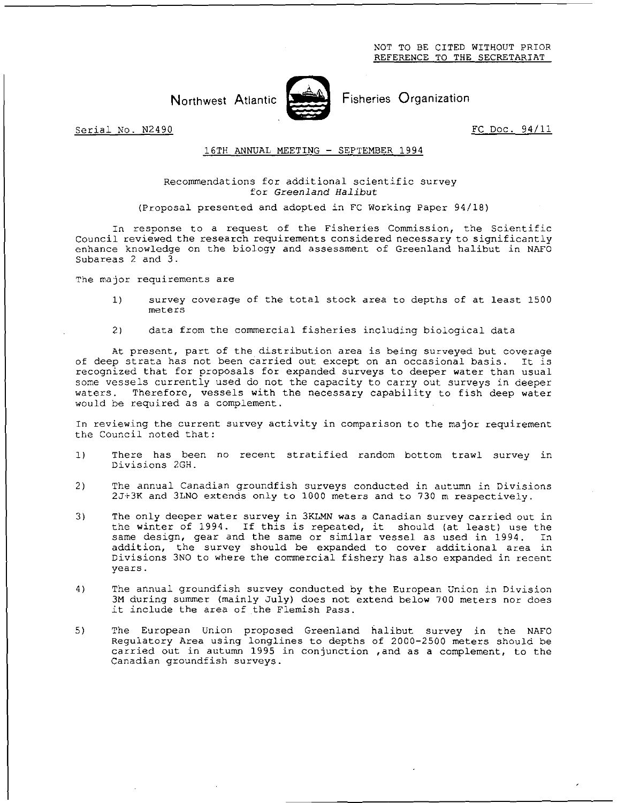

Northwest Atlantic Fisheries Organization

Serial No. N2490 **FC** Doc. 94/11

## 16TH ANNUAL MEETING - SEPTEMBER 1994

## Recommendations for additional scientific survey for *Greenland Halibut*

(Proposal presented and adopted in FC Working Paper 94/18)

In response to a request of the Fisheries Commission, the Scientific Council reviewed the research requirements considered necessary to significantly enhance knowledge on the biology and assessment of Greenland halibut in NAFO Subareas 2 and 3.

The major requirements are

- 1) survey coverage of the total stock area to depths of at least 1500 meters
- 2) data from the commercial fisheries including biological data

At present, part of the distribution area is being surveyed but coverage of deep strata has not been carried out except on an occasional basis. It is recognized that for proposals for expanded surveys to deeper water than usual some vessels currently used do not the capacity to carry out surveys in deeper waters. Therefore, vessels with the necessary capability to fish deep water would be required as a complement.

In reviewing the current survey activity in comparison to the major requirement the Council noted that:

- 1) There has been no recent stratified random bottom trawl survey in Divisions 2GH.
- 2) The annual Canadian groundfish surveys conducted in autumn in Divisions 21+3K and 3LNO extends only to 1000 meters and to 730 m respectively.
- 3) The only deeper water survey in 3KLMN was a Canadian survey carried out in the winter of 1994. If this is repeated, it should (at least) use the same design, gear and the same or similar vessel as used in 1994. In addition, the survey should be expanded to cover additional area in Divisions 3NO to where the commercial fishery has also expanded in recent years.
- 4) The annual groundfish survey conducted by the European Union in Division 3M during summer (mainly July) does not extend below 700 meters nor does it include the area of the Flemish Pass.
- 5) The European Union proposed Greenland halibut survey in the NAFO Regulatory Area using longlines to depths of 2000-2500 meters should be carried out in autumn 1995 in conjunction ,and as a complement, to the Canadian groundfish surveys.